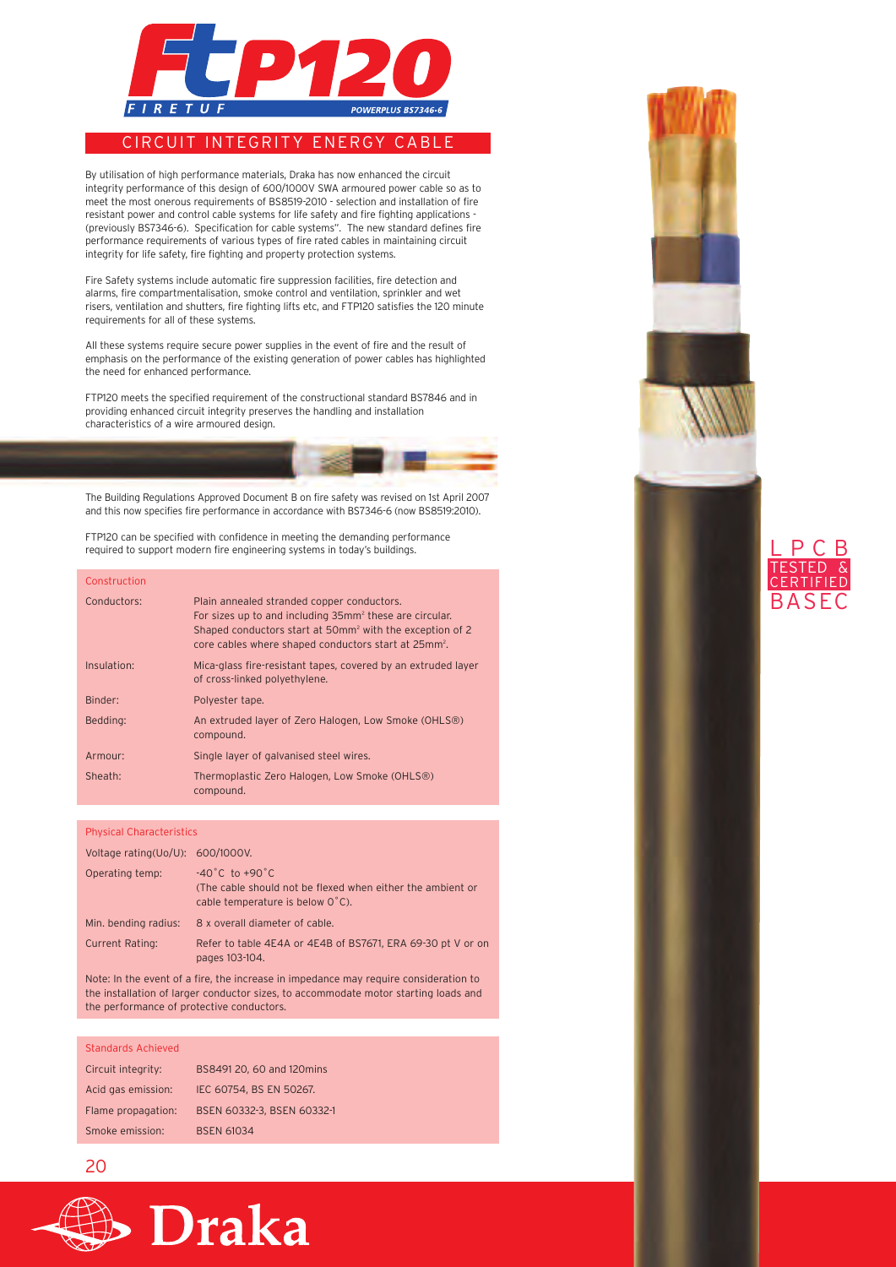

### CIRCUIT INTEGRITY ENERGY CABLE

By utilisation of high performance materials, Draka has now enhanced the circuit integrity performance of this design of 600/1000V SWA armoured power cable so as to meet the most onerous requirements of BS8519-2010 - selection and installation of fire resistant power and control cable systems for life safety and fire fighting applications - (previously BS7346-6). Specification for cable systems". The new standard defines fire performance requirements of various types of fire rated cables in maintaining circuit integrity for life safety, fire fighting and property protection systems.

Fire Safety systems include automatic fire suppression facilities, fire detection and alarms, fire compartmentalisation, smoke control and ventilation, sprinkler and wet risers, ventilation and shutters, fire fighting lifts etc, and FTP120 satisfies the 120 minute requirements for all of these systems.

All these systems require secure power supplies in the event of fire and the result of emphasis on the performance of the existing generation of power cables has highlighted the need for enhanced performance.

FTP120 meets the specified requirement of the constructional standard BS7846 and in providing enhanced circuit integrity preserves the handling and installation characteristics of a wire armoured design.



FTP120 can be specified with confidence in meeting the demanding performance required to support modern fire engineering systems in today's buildings.

| Construction |                                                                                                                                                                                                                                                               |
|--------------|---------------------------------------------------------------------------------------------------------------------------------------------------------------------------------------------------------------------------------------------------------------|
| Conductors:  | Plain annealed stranded copper conductors.<br>For sizes up to and including 35mm <sup>2</sup> these are circular.<br>Shaped conductors start at 50mm <sup>2</sup> with the exception of 2<br>core cables where shaped conductors start at 25mm <sup>2</sup> . |
| Insulation:  | Mica-glass fire-resistant tapes, covered by an extruded layer<br>of cross-linked polyethylene.                                                                                                                                                                |
| Binder:      | Polyester tape.                                                                                                                                                                                                                                               |
| Bedding:     | An extruded layer of Zero Halogen, Low Smoke (OHLS <sup>®)</sup><br>compound.                                                                                                                                                                                 |
| Armour:      | Single layer of galvanised steel wires.                                                                                                                                                                                                                       |
| Sheath:      | Thermoplastic Zero Halogen, Low Smoke (OHLS <sup>®)</sup><br>compound.                                                                                                                                                                                        |

### Physical Characteristics

| Voltage rating(Uo/U): 600/1000V. |                                                                                                                                      |
|----------------------------------|--------------------------------------------------------------------------------------------------------------------------------------|
| Operating temp:                  | $-40^{\circ}$ C to $+90^{\circ}$ C<br>(The cable should not be flexed when either the ambient or<br>cable temperature is below 0°C). |
| Min. bending radius:             | 8 x overall diameter of cable.                                                                                                       |
| <b>Current Rating:</b>           | Refer to table 4E4A or 4E4B of BS7671, ERA 69-30 pt V or on<br>pages 103-104.                                                        |

Note: In the event of a fire, the increase in impedance may require consideration to the installation of larger conductor sizes, to accommodate motor starting loads and the performance of protective conductors.

#### Standards Achieved

| Circuit integrity: | BS8491 20, 60 and 120mins  |
|--------------------|----------------------------|
| Acid gas emission: | IEC 60754. BS EN 50267.    |
| Flame propagation: | BSEN 60332-3. BSEN 60332-1 |
| Smoke emission:    | <b>BSEN 61034</b>          |